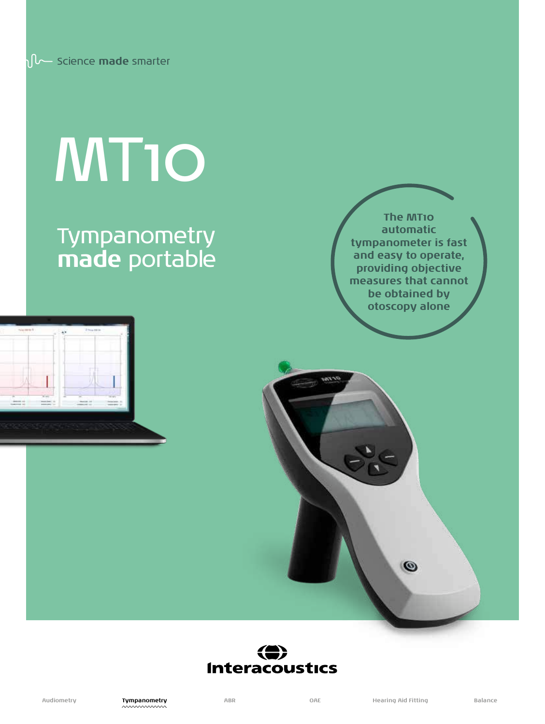# MT10

# Tympanometry **made** portable

**The MT10 automatic tympanometer is fast and easy to operate, providing objective measures that cannot be obtained by otoscopy alone**





 $\circ$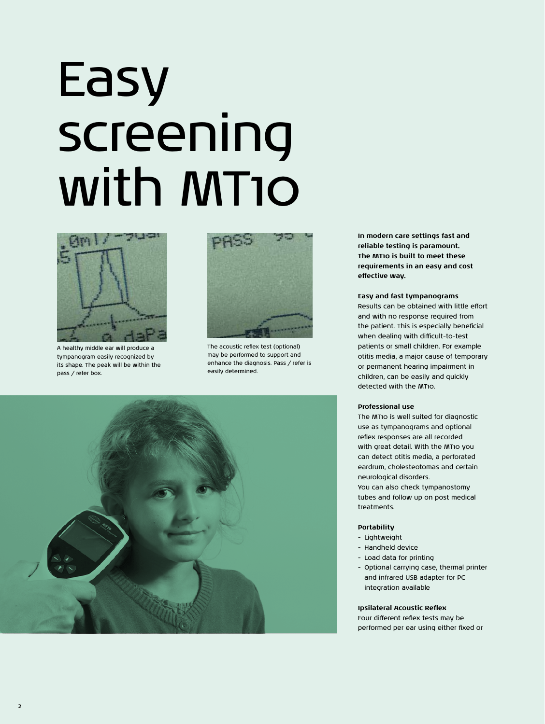# Easy screening with MT10



A healthy middle ear will produce a tympanogram easily recognized by its shape. The peak will be within the pass / refer box.

2



The acoustic reflex test (optional) may be performed to support and enhance the diagnosis. Pass / refer is easily determined.



**In modern care settings fast and reliable testing is paramount. The MT10 is built to meet these requirements in an easy and cost effective way.**

# **Easy and fast tympanograms**

Results can be obtained with little effort and with no response required from the patient. This is especially beneficial when dealing with difficult-to-test patients or small children. For example otitis media, a major cause of temporary or permanent hearing impairment in children, can be easily and quickly detected with the MT10.

### **Professional use**

The MT10 is well suited for diagnostic use as tympanograms and optional reflex responses are all recorded with great detail. With the MT10 you can detect otitis media, a perforated eardrum, cholesteotomas and certain neurological disorders.

You can also check tympanostomy tubes and follow up on post medical treatments.

## **Portability**

- Lightweight
- Handheld device
- Load data for printing
- Optional carrying case, thermal printer and infrared USB adapter for PC integration available

## **Ipsilateral Acoustic Reflex**

Four different reflex tests may be performed per ear using either fixed or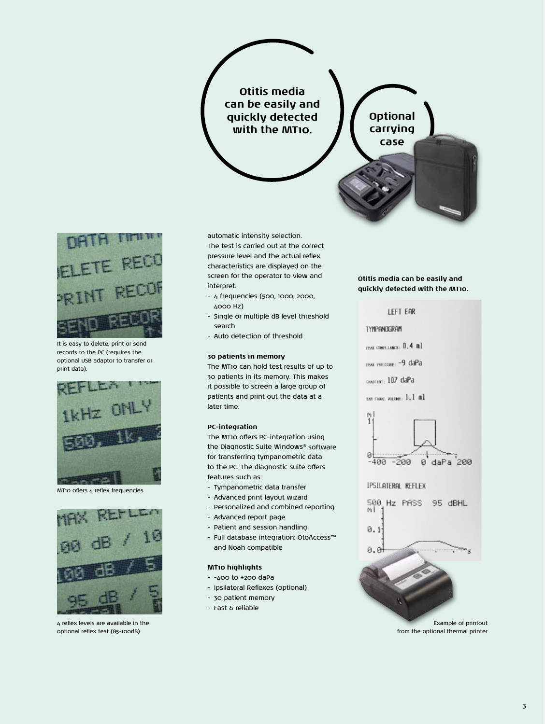# **Otitis media can be easily and quickly detected with the MT10.**





It is easy to delete, print or send records to the PC (requires the optional USB adaptor to transfer or print data).



MT10 offers 4 reflex frequencies



4 reflex levels are available in the optional reflex test (85-100dB)

automatic intensity selection. The test is carried out at the correct pressure level and the actual reflex characteristics are displayed on the screen for the operator to view and interpret.

- 4 frequencies (500, 1000, 2000, 4000 Hz)
- Single or multiple dB level threshold search
- Auto detection of threshold

# **30 patients in memory**

The MT10 can hold test results of up to 30 patients in its memory. This makes it possible to screen a large group of patients and print out the data at a later time.

# **PC-integration**

The MT10 offers PC-integration using the Diagnostic Suite Windows® software for transferring tympanometric data to the PC. The diagnostic suite offers features such as:

- Tympanometric data transfer
- Advanced print layout wizard
- Personalized and combined reporting
- Advanced report page
- Patient and session handling
- Full database integration: OtoAccess™ and Noah compatible

# **MT10 highlights**

- -400 to +200 daPa
- Ipsilateral Reflexes (optional)
- 30 patient memory
- Fast & reliable

# **Otitis media can be easily and quickly detected with the MT10.**



Example of printout from the optional thermal printer